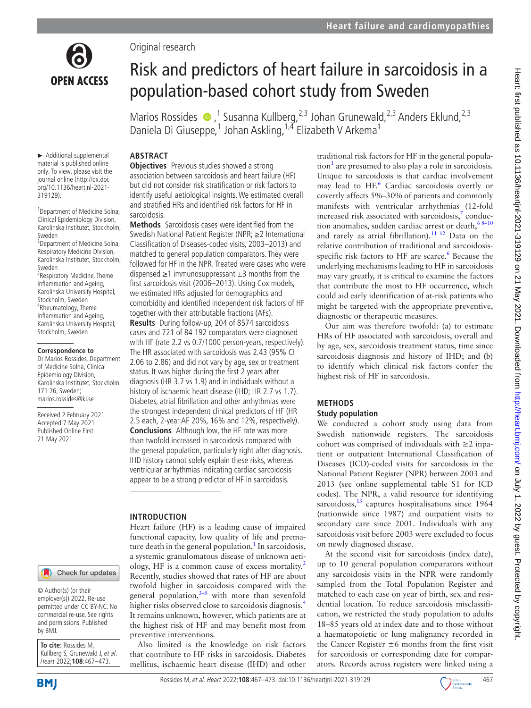

► Additional supplemental material is published online only. To view, please visit the journal online (http://dx.doi. org/10.1136/heartjnl-2021-

1 Department of Medicine Solna, Clinical Epidemiology Division, Karolinska Institutet, Stockholm,

2 Department of Medicine Solna, Respiratory Medicine Division, Karolinska Institutet, Stockholm,

<sup>3</sup> Respiratory Medicine, Theme Inflammation and Ageing, Karolinska University Hospital, Stockholm, Sweden 4 Rheumatology, Theme Inflammation and Ageing, Karolinska University Hospital, Stockholm, Sweden

**Correspondence to** Dr Marios Rossides, Department of Medicine Solna, Clinical Epidemiology Division, Karolinska Institutet, Stockholm

171 76, Sweden; marios.rossides@ki.se Received 2 February 2021 Accepted 7 May 2021 Published Online First 21 May 2021

319129).

Sweden

Sweden

Original research

# Risk and predictors of heart failure in sarcoidosis in a population-based cohort study from Sweden

Marios Rossides  $\bullet$ ,<sup>1</sup> Susanna Kullberg,<sup>2,3</sup> Johan Grunewald,<sup>2,3</sup> Anders Eklund,<sup>2,3</sup> Daniela Di Giuseppe,<sup>1</sup> Johan Askling,<sup>1,4</sup> Elizabeth V Arkema<sup>1</sup>

## **ABSTRACT**

**Objectives** Previous studies showed a strong association between sarcoidosis and heart failure (HF) but did not consider risk stratification or risk factors to identify useful aetiological insights. We estimated overall and stratified HRs and identified risk factors for HF in sarcoidosis.

**Methods** Sarcoidosis cases were identified from the Swedish National Patient Register (NPR; ≥2 International Classification of Diseases-coded visits, 2003–2013) and matched to general population comparators. They were followed for HF in the NPR. Treated were cases who were dispensed  $\geq$ 1 immunosuppressant  $\pm$ 3 months from the first sarcoidosis visit (2006–2013). Using Cox models, we estimated HRs adjusted for demographics and comorbidity and identified independent risk factors of HF together with their attributable fractions (AFs). **Results** During follow-up, 204 of 8574 sarcoidosis cases and 721 of 84 192 comparators were diagnosed with HF (rate 2.2 vs 0.7/1000 person-years, respectively). The HR associated with sarcoidosis was 2.43 (95% CI 2.06 to 2.86) and did not vary by age, sex or treatment status. It was higher during the first 2 years after diagnosis (HR 3.7 vs 1.9) and in individuals without a history of ischaemic heart disease (IHD; HR 2.7 vs 1.7). Diabetes, atrial fibrillation and other arrhythmias were the strongest independent clinical predictors of HF (HR 2.5 each, 2-year AF 20%, 16% and 12%, respectively). **Conclusions** Although low, the HF rate was more than twofold increased in sarcoidosis compared with the general population, particularly right after diagnosis. IHD history cannot solely explain these risks, whereas ventricular arrhythmias indicating cardiac sarcoidosis appear to be a strong predictor of HF in sarcoidosis.

## **INTRODUCTION**

Heart failure (HF) is a leading cause of impaired functional capacity, low quality of life and prema-ture death in the general population.<sup>[1](#page-6-0)</sup> In sarcoidosis, a systemic granulomatous disease of unknown aeti-ology, HF is a common cause of excess mortality.<sup>[2](#page-6-1)</sup> Recently, studies showed that rates of HF are about twofold higher in sarcoidosis compared with the general population, $3-5$  with more than sevenfold higher risks observed close to sarcoidosis diagnosis.<sup>[4](#page-6-3)</sup> It remains unknown, however, which patients are at the highest risk of HF and may benefit most from preventive interventions.

Also limited is the knowledge on risk factors that contribute to HF risks in sarcoidosis. Diabetes mellitus, ischaemic heart disease (IHD) and other

traditional risk factors for HF in the general popula- $\text{tion}^1$  $\text{tion}^1$  are presumed to also play a role in sarcoidosis. Unique to sarcoidosis is that cardiac involvement may lead to HF.<sup>6</sup> Cardiac sarcoidosis overtly or covertly affects 5%–30% of patients and commonly manifests with ventricular arrhythmias (12-fold increased risk associated with sarcoidosis, $\frac{7}{7}$  conduction anomalies, sudden cardiac arrest or death, 68-10 and rarely as atrial fibrillation).<sup>11 12</sup> Data on the relative contribution of traditional and sarcoidosisspecific risk factors to HF are scarce.<sup>6</sup> Because the underlying mechanisms leading to HF in sarcoidosis may vary greatly, it is critical to examine the factors that contribute the most to HF occurrence, which could aid early identification of at-risk patients who might be targeted with the appropriate preventive, diagnostic or therapeutic measures.

Our aim was therefore twofold: (a) to estimate HRs of HF associated with sarcoidosis, overall and by age, sex, sarcoidosis treatment status, time since sarcoidosis diagnosis and history of IHD; and (b) to identify which clinical risk factors confer the highest risk of HF in sarcoidosis.

## **METHODS Study population**

We conducted a cohort study using data from Swedish nationwide registers. The sarcoidosis cohort was comprised of individuals with  $\geq 2$  inpatient or outpatient International Classification of Diseases (ICD)-coded visits for sarcoidosis in the National Patient Register (NPR) between 2003 and 2013 (see [online supplemental table S1](https://dx.doi.org/10.1136/heartjnl-2021-319129) for ICD codes). The NPR, a valid resource for identifying sarcoidosis, $13$  captures hospitalisations since 1964 (nationwide since 1987) and outpatient visits to secondary care since 2001. Individuals with any sarcoidosis visit before 2003 were excluded to focus on newly diagnosed disease.

At the second visit for sarcoidosis (index date), up to 10 general population comparators without any sarcoidosis visits in the NPR were randomly sampled from the Total Population Register and matched to each case on year of birth, sex and residential location. To reduce sarcoidosis misclassification, we restricted the study population to adults 18–85 years old at index date and to those without a haematopoietic or lung malignancy recorded in the Cancer Register  $\pm 6$  months from the first visit for sarcoidosis or corresponding date for comparators. Records across registers were linked using a

#### Check for updates

© Author(s) (or their employer(s)) 2022. Re-use permitted under CC BY-NC. No commercial re-use. See rights and permissions. Published by BMJ.

**To cite:** Rossides M, Kullberg S, Grunewald J, et al. Heart 2022;**108**:467–473.

**BMI** 

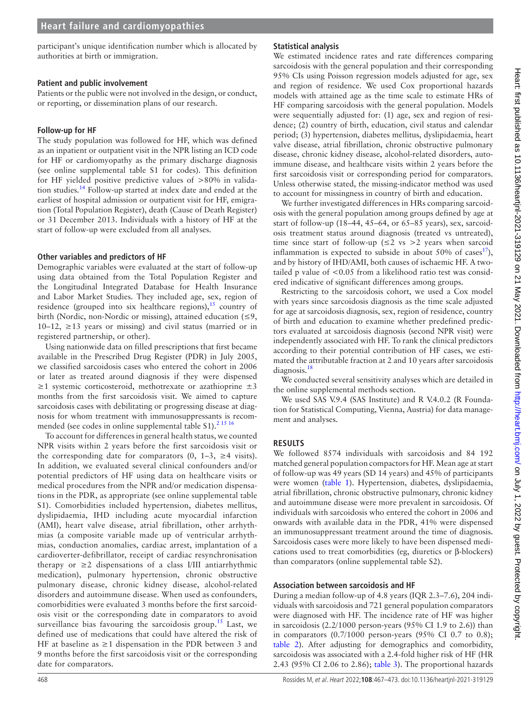participant's unique identification number which is allocated by authorities at birth or immigration.

#### **Patient and public involvement**

Patients or the public were not involved in the design, or conduct, or reporting, or dissemination plans of our research.

#### **Follow-up for HF**

The study population was followed for HF, which was defined as an inpatient or outpatient visit in the NPR listing an ICD code for HF or cardiomyopathy as the primary discharge diagnosis (see [online supplemental table S1](https://dx.doi.org/10.1136/heartjnl-2021-319129) for codes). This definition for HF yielded positive predictive values of >80% in validation studies[.14](#page-6-8) Follow-up started at index date and ended at the earliest of hospital admission or outpatient visit for HF, emigration (Total Population Register), death (Cause of Death Register) or 31 December 2013. Individuals with a history of HF at the start of follow-up were excluded from all analyses.

#### **Other variables and predictors of HF**

Demographic variables were evaluated at the start of follow-up using data obtained from the Total Population Register and the Longitudinal Integrated Database for Health Insurance and Labor Market Studies. They included age, sex, region of residence (grouped into six healthcare regions), $15$  country of birth (Nordic, non-Nordic or missing), attained education (≤9, 10–12, ≥13 years or missing) and civil status (married or in registered partnership, or other).

Using nationwide data on filled prescriptions that first became available in the Prescribed Drug Register (PDR) in July 2005, we classified sarcoidosis cases who entered the cohort in 2006 or later as treated around diagnosis if they were dispensed  $≥1$  systemic corticosteroid, methotrexate or azathioprine  $±3$ months from the first sarcoidosis visit. We aimed to capture sarcoidosis cases with debilitating or progressing disease at diagnosis for whom treatment with immunosuppressants is recommended (see codes in [online supplemental table S1](https://dx.doi.org/10.1136/heartjnl-2021-319129)).<sup>[2 15 16](#page-6-1)</sup>

To account for differences in general health status, we counted NPR visits within 2 years before the first sarcoidosis visit or the corresponding date for comparators  $(0, 1-3, \geq 4$  visits). In addition, we evaluated several clinical confounders and/or potential predictors of HF using data on healthcare visits or medical procedures from the NPR and/or medication dispensations in the PDR, as appropriate (see [online supplemental table](https://dx.doi.org/10.1136/heartjnl-2021-319129)  [S1\)](https://dx.doi.org/10.1136/heartjnl-2021-319129). Comorbidities included hypertension, diabetes mellitus, dyslipidaemia, IHD including acute myocardial infarction (AMI), heart valve disease, atrial fibrillation, other arrhythmias (a composite variable made up of ventricular arrhythmias, conduction anomalies, cardiac arrest, implantation of a cardioverter-defibrillator, receipt of cardiac resynchronisation therapy or  $\geq 2$  dispensations of a class I/III antiarrhythmic medication), pulmonary hypertension, chronic obstructive pulmonary disease, chronic kidney disease, alcohol-related disorders and autoimmune disease. When used as confounders, comorbidities were evaluated 3 months before the first sarcoidosis visit or the corresponding date in comparators to avoid surveillance bias favouring the sarcoidosis group.<sup>[15](#page-6-9)</sup> Last, we defined use of medications that could have altered the risk of HF at baseline as  $\geq 1$  dispensation in the PDR between 3 and 9 months before the first sarcoidosis visit or the corresponding date for comparators.

#### **Statistical analysis**

We estimated incidence rates and rate differences comparing sarcoidosis with the general population and their corresponding 95% CIs using Poisson regression models adjusted for age, sex and region of residence. We used Cox proportional hazards models with attained age as the time scale to estimate HRs of HF comparing sarcoidosis with the general population. Models were sequentially adjusted for: (1) age, sex and region of residence; (2) country of birth, education, civil status and calendar period; (3) hypertension, diabetes mellitus, dyslipidaemia, heart valve disease, atrial fibrillation, chronic obstructive pulmonary disease, chronic kidney disease, alcohol-related disorders, autoimmune disease, and healthcare visits within 2 years before the first sarcoidosis visit or corresponding period for comparators. Unless otherwise stated, the missing-indicator method was used to account for missingness in country of birth and education.

We further investigated differences in HRs comparing sarcoidosis with the general population among groups defined by age at start of follow-up (18–44, 45–64, or 65–85 years), sex, sarcoidosis treatment status around diagnosis (treated vs untreated), time since start of follow-up ( $\leq 2$  vs  $>2$  years when sarcoid inflammation is expected to subside in about 50% of cases<sup>17</sup>), and by history of IHD/AMI, both causes of ischaemic HF. A twotailed p value of <0.05 from a likelihood ratio test was considered indicative of significant differences among groups.

Restricting to the sarcoidosis cohort, we used a Cox model with years since sarcoidosis diagnosis as the time scale adjusted for age at sarcoidosis diagnosis, sex, region of residence, country of birth and education to examine whether predefined predictors evaluated at sarcoidosis diagnosis (second NPR visit) were independently associated with HF. To rank the clinical predictors according to their potential contribution of HF cases, we estimated the attributable fraction at 2 and 10 years after sarcoidosis diagnosis.<sup>[18](#page-6-11)</sup>

We conducted several sensitivity analyses which are detailed in the [online supplemental methods](https://dx.doi.org/10.1136/heartjnl-2021-319129) section.

We used SAS V.9.4 (SAS Institute) and R V.4.0.2 (R Foundation for Statistical Computing, Vienna, Austria) for data management and analyses.

## **RESULTS**

We followed 8574 individuals with sarcoidosis and 84 192 matched general population compactors for HF. Mean age at start of follow-up was 49 years (SD 14 years) and 45% of participants were women ([table](#page-2-0) 1). Hypertension, diabetes, dyslipidaemia, atrial fibrillation, chronic obstructive pulmonary, chronic kidney and autoimmune disease were more prevalent in sarcoidosis. Of individuals with sarcoidosis who entered the cohort in 2006 and onwards with available data in the PDR, 41% were dispensed an immunosuppressant treatment around the time of diagnosis. Sarcoidosis cases were more likely to have been dispensed medications used to treat comorbidities (eg, diuretics or β-blockers) than comparators [\(online supplemental table S2](https://dx.doi.org/10.1136/heartjnl-2021-319129)).

#### **Association between sarcoidosis and HF**

During a median follow-up of 4.8 years (IQR 2.3–7.6), 204 individuals with sarcoidosis and 721 general population comparators were diagnosed with HF. The incidence rate of HF was higher in sarcoidosis  $(2.2/1000$  person-years  $(95\% \text{ CI } 1.9 \text{ to } 2.6)$ ) than in comparators (0.7/1000 person-years (95% CI 0.7 to 0.8); [table](#page-3-0) 2). After adjusting for demographics and comorbidity, sarcoidosis was associated with a 2.4-fold higher risk of HF (HR 2.43 (95% CI 2.06 to 2.86); [table](#page-3-1) 3). The proportional hazards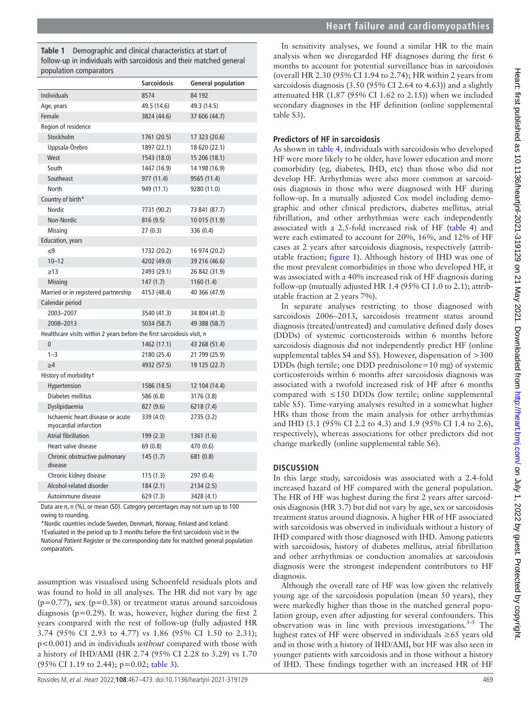<span id="page-2-0"></span>**Table 1** Demographic and clinical characteristics at start of follow-up in individuals with sarcoidosis and their matched general population comparators

|                                                                        | <b>Sarcoidosis</b> | <b>General population</b> |
|------------------------------------------------------------------------|--------------------|---------------------------|
| <b>Individuals</b>                                                     | 8574               | 84 192                    |
| Age, years                                                             | 49.5 (14.6)        | 49.3 (14.5)               |
| Female                                                                 | 3824 (44.6)        | 37 606 (44.7)             |
| Region of residence                                                    |                    |                           |
| Stockholm                                                              | 1761 (20.5)        | 17 323 (20.6)             |
| Uppsala-Örebro                                                         | 1897 (22.1)        | 18 620 (22.1)             |
| West                                                                   | 1543 (18.0)        | 15 206 (18.1)             |
| South                                                                  | 1447 (16.9)        | 14 198 (16.9)             |
| Southeast                                                              | 977 (11.4)         | 9565 (11.4)               |
| North                                                                  | 949 (11.1)         | 9280 (11.0)               |
| Country of birth*                                                      |                    |                           |
| Nordic                                                                 | 7731 (90.2)        | 73 841 (87.7)             |
| Non-Nordic                                                             | 816(9.5)           | 10 015 (11.9)             |
| Missing                                                                | 27(0.3)            | 336 (0.4)                 |
| <b>Education, years</b>                                                |                    |                           |
| $\leq$ 9                                                               | 1732 (20.2)        | 16 974 (20.2)             |
| $10 - 12$                                                              | 4202 (49.0)        | 39 216 (46.6)             |
| $\geq$ 13                                                              | 2493 (29.1)        | 26 842 (31.9)             |
| <b>Missing</b>                                                         | 147(1.7)           | 1160(1.4)                 |
| Married or in registered partnership                                   | 4153 (48.4)        | 40 366 (47.9)             |
| Calendar period                                                        |                    |                           |
| 2003-2007                                                              | 3540 (41.3)        | 34 804 (41.3)             |
| 2008-2013                                                              | 5034 (58.7)        | 49 388 (58.7)             |
| Healthcare visits within 2 years before the first sarcoidosis visit, n |                    |                           |
| $\mathbf{0}$                                                           | 1462 (17.1)        | 43 268 (51.4)             |
| $1 - 3$                                                                | 2180 (25.4)        | 21 799 (25.9)             |
| $\geq 4$                                                               | 4932 (57.5)        | 19 125 (22.7)             |
| History of morbidity†                                                  |                    |                           |
| Hypertension                                                           | 1586 (18.5)        | 12 104 (14.4)             |
| Diabetes mellitus                                                      | 586 (6.8)          | 3176 (3.8)                |
| Dyslipidaemia                                                          | 827 (9.6)          | 6218 (7.4)                |
| Ischaemic heart disease or acute<br>myocardial infarction              | 339 (4.0)          | 2735 (3.2)                |
| <b>Atrial fibrillation</b>                                             | 199(2.3)           | 1361 (1.6)                |
| Heart valve disease                                                    | 69 (0.8)           | 470 (0.6)                 |
| Chronic obstructive pulmonary<br>disease                               | 145(1.7)           | 681 (0.8)                 |
| Chronic kidney disease                                                 | 115(1.3)           | 297 (0.4)                 |
| Alcohol-related disorder                                               | 184 (2.1)          | 2134 (2.5)                |
| Autoimmune disease                                                     | 629 (7.3)          | 3428 (4.1)                |

Data are n, n (%), or mean (SD). Category percentages may not sum up to 100 owing to rounding.

\*Nordic countries include Sweden, Denmark, Norway, Finland and Iceland. †Evaluated in the period up to 3 months before the first sarcoidosis visit in the National Patient Register or the corresponding date for matched general population comparators.

assumption was visualised using Schoenfeld residuals plots and was found to hold in all analyses. The HR did not vary by age  $(p=0.77)$ , sex  $(p=0.38)$  or treatment status around sarcoidosis diagnosis (p=0.29). It was, however, higher during the first 2 years compared with the rest of follow-up (fully adjusted HR 3.74 (95% CI 2.93 to 4.77) vs 1.86 (95% CI 1.50 to 2.31); p<0.001) and in individuals *without* compared with those with a history of IHD/AMI (HR 2.74 (95% CI 2.28 to 3.29) vs 1.70 (95% CI 1.19 to 2.44); p=0.02; [table](#page-3-1) 3).

In sensitivity analyses, we found a similar HR to the main analysis when we disregarded HF diagnoses during the first 6 months to account for potential surveillance bias in sarcoidosis (overall HR 2.30 (95% CI 1.94 to 2.74); HR within 2 years from sarcoidosis diagnosis (3.50 (95% CI 2.64 to 4.63)) and a slightly attenuated HR (1.87 (95% CI 1.62 to 2.15)) when we included secondary diagnoses in the HF definition ([online supplemental](https://dx.doi.org/10.1136/heartjnl-2021-319129) [table S3](https://dx.doi.org/10.1136/heartjnl-2021-319129)).

## **Predictors of HF in sarcoidosis**

As shown in [table](#page-4-0) 4, individuals with sarcoidosis who developed HF were more likely to be older, have lower education and more comorbidity (eg, diabetes, IHD, etc) than those who did not develop HF. Arrhythmias were also more common at sarcoidosis diagnosis in those who were diagnosed with HF during follow-up. In a mutually adjusted Cox model including demographic and other clinical predictors, diabetes mellitus, atrial fibrillation, and other arrhythmias were each independently associated with a 2.5-fold increased risk of HF [\(table](#page-4-0) 4) and were each estimated to account for 20%, 16%, and 12% of HF cases at 2 years after sarcoidosis diagnosis, respectively (attributable fraction; [figure](#page-4-1) 1). Although history of IHD was one of the most prevalent comorbidities in those who developed HF, it was associated with a 40% increased risk of HF diagnosis during follow-up (mutually adjusted HR 1.4 (95% CI 1.0 to 2.1); attributable fraction at 2 years 7%).

In separate analyses restricting to those diagnosed with sarcoidosis 2006–2013, sarcoidosis treatment status around diagnosis (treated/untreated) and cumulative defined daily doses (DDDs) of systemic corticosteroids within 6 months before sarcoidosis diagnosis did not independently predict HF [\(online](https://dx.doi.org/10.1136/heartjnl-2021-319129) [supplemental tables S4 and S5](https://dx.doi.org/10.1136/heartjnl-2021-319129)). However, dispensation of >300 DDDs (high tertile; one DDD prednisolone=10 mg) of systemic corticosteroids within 6 months after sarcoidosis diagnosis was associated with a twofold increased risk of HF after 6 months compared with  $\leq 150$  DDDs (low tertile; [online supplemental](https://dx.doi.org/10.1136/heartjnl-2021-319129) [table S5\)](https://dx.doi.org/10.1136/heartjnl-2021-319129). Time-varying analyses resulted in a somewhat higher HRs than those from the main analysis for other arrhythmias and IHD (3.1 (95% CI 2.2 to 4.3) and 1.9 (95% CI 1.4 to 2.6), respectively), whereas associations for other predictors did not change markedly ([online supplemental table S6\)](https://dx.doi.org/10.1136/heartjnl-2021-319129).

# **DISCUSSION**

In this large study, sarcoidosis was associated with a 2.4-fold increased hazard of HF compared with the general population. The HR of HF was highest during the first 2 years after sarcoidosis diagnosis (HR 3.7) but did not vary by age, sex or sarcoidosis treatment status around diagnosis. A higher HR of HF associated with sarcoidosis was observed in individuals without a history of IHD compared with those diagnosed with IHD. Among patients with sarcoidosis, history of diabetes mellitus, atrial fibrillation and other arrhythmias or conduction anomalies at sarcoidosis diagnosis were the strongest independent contributors to HF diagnosis.

Although the overall rate of HF was low given the relatively young age of the sarcoidosis population (mean 50 years), they were markedly higher than those in the matched general population group, even after adjusting for several confounders. This observation was in line with previous investigations. $3-5$  The highest rates of HF were observed in individuals ≥65 years old and in those with a history of IHD/AMI, but HF was also seen in younger patients with sarcoidosis and in those without a history of IHD. These findings together with an increased HR of HF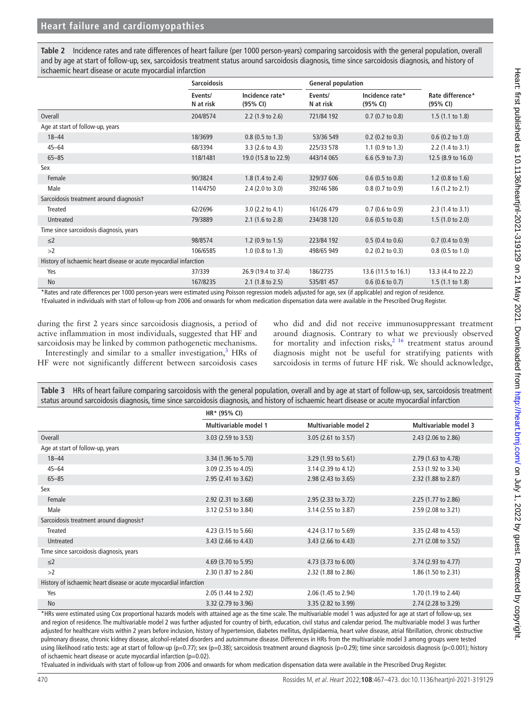## **Heart failure and cardiomyopathies**

<span id="page-3-0"></span>**Table 2** Incidence rates and rate differences of heart failure (per 1000 person-years) comparing sarcoidosis with the general population, overall and by age at start of follow-up, sex, sarcoidosis treatment status around sarcoidosis diagnosis, time since sarcoidosis diagnosis, and history of ischaemic heart disease or acute myocardial infarction

|                                                                   | <b>Sarcoidosis</b>   |                             | <b>General population</b> |                             |                              |  |
|-------------------------------------------------------------------|----------------------|-----------------------------|---------------------------|-----------------------------|------------------------------|--|
|                                                                   | Events/<br>N at risk | Incidence rate*<br>(95% CI) | Events/<br>N at risk      | Incidence rate*<br>(95% CI) | Rate difference*<br>(95% CI) |  |
| Overall                                                           | 204/8574             | 2.2 (1.9 to 2.6)            | 721/84 192                | $0.7$ (0.7 to 0.8)          | $1.5(1.1 \text{ to } 1.8)$   |  |
| Age at start of follow-up, years                                  |                      |                             |                           |                             |                              |  |
| $18 - 44$                                                         | 18/3699              | $0.8$ (0.5 to 1.3)          | 53/36 549                 | $0.2$ (0.2 to 0.3)          | $0.6$ (0.2 to 1.0)           |  |
| $45 - 64$                                                         | 68/3394              | 3.3 (2.6 to 4.3)            | 225/33 578                | $1.1$ (0.9 to 1.3)          | $2.2$ (1.4 to 3.1)           |  |
| $65 - 85$                                                         | 118/1481             | 19.0 (15.8 to 22.9)         | 443/14 065                | $6.6$ (5.9 to 7.3)          | 12.5 (8.9 to 16.0)           |  |
| Sex                                                               |                      |                             |                           |                             |                              |  |
| Female                                                            | 90/3824              | 1.8 (1.4 to 2.4)            | 329/37 606                | $0.6$ (0.5 to 0.8)          | 1.2 $(0.8 \text{ to } 1.6)$  |  |
| Male                                                              | 114/4750             | $2.4$ (2.0 to 3.0)          | 392/46 586                | $0.8$ (0.7 to 0.9)          | $1.6$ (1.2 to 2.1)           |  |
| Sarcoidosis treatment around diagnosist                           |                      |                             |                           |                             |                              |  |
| Treated                                                           | 62/2696              | 3.0 (2.2 to 4.1)            | 161/26 479                | $0.7$ (0.6 to 0.9)          | $2.3(1.4 \text{ to } 3.1)$   |  |
| Untreated                                                         | 79/3889              | $2.1$ (1.6 to 2.8)          | 234/38 120                | $0.6$ (0.5 to 0.8)          | 1.5(1.0 to 2.0)              |  |
| Time since sarcoidosis diagnosis, years                           |                      |                             |                           |                             |                              |  |
| $\leq$ 2                                                          | 98/8574              | $1.2$ (0.9 to 1.5)          | 223/84 192                | $0.5$ (0.4 to 0.6)          | $0.7$ (0.4 to 0.9)           |  |
| >2                                                                | 106/6585             | $1.0$ (0.8 to 1.3)          | 498/65 949                | $0.2$ (0.2 to 0.3)          | $0.8$ (0.5 to 1.0)           |  |
| History of ischaemic heart disease or acute myocardial infarction |                      |                             |                           |                             |                              |  |
| Yes                                                               | 37/339               | 26.9 (19.4 to 37.4)         | 186/2735                  | 13.6 (11.5 to 16.1)         | 13.3 (4.4 to 22.2)           |  |
| <b>No</b><br>                                                     | 167/8235             | $2.1$ (1.8 to 2.5)          | 535/81 457                | $0.6$ (0.6 to 0.7)<br>.     | $1.5(1.1 \text{ to } 1.8)$   |  |

\*Rates and rate differences per 1000 person-years were estimated using Poisson regression models adjusted for age, sex (if applicable) and region of residence.

†Evaluated in individuals with start of follow-up from 2006 and onwards for whom medication dispensation data were available in the Prescribed Drug Register.

during the first 2 years since sarcoidosis diagnosis, a period of active inflammation in most individuals, suggested that HF and sarcoidosis may be linked by common pathogenetic mechanisms.

Interestingly and similar to a smaller investigation, $3$  HRs of HF were not significantly different between sarcoidosis cases

who did and did not receive immunosuppressant treatment around diagnosis. Contrary to what we previously observed for mortality and infection risks,<sup>2</sup> <sup>16</sup> treatment status around diagnosis might not be useful for stratifying patients with sarcoidosis in terms of future HF risk. We should acknowledge,

<span id="page-3-1"></span>

| Table 3 HRs of heart failure comparing sarcoidosis with the general population, overall and by age at start of follow-up, sex, sarcoidosis treatment |  |  |  |  |
|------------------------------------------------------------------------------------------------------------------------------------------------------|--|--|--|--|
| status around sarcoidosis diagnosis, time since sarcoidosis diagnosis, and history of ischaemic heart disease or acute myocardial infarction         |  |  |  |  |

|                                                                   | HR* (95% CI)          |                                |                       |  |  |
|-------------------------------------------------------------------|-----------------------|--------------------------------|-----------------------|--|--|
|                                                                   | Multivariable model 1 | Multivariable model 2          | Multivariable model 3 |  |  |
| Overall                                                           | 3.03 (2.59 to 3.53)   | $3.05$ (2.61 to 3.57)          | 2.43 (2.06 to 2.86)   |  |  |
| Age at start of follow-up, years                                  |                       |                                |                       |  |  |
| $18 - 44$                                                         | 3.34 (1.96 to 5.70)   | $3.29(1.93 \text{ to } 5.61)$  | 2.79 (1.63 to 4.78)   |  |  |
| $45 - 64$                                                         | 3.09 (2.35 to 4.05)   | 3.14 (2.39 to 4.12)            | 2.53 (1.92 to 3.34)   |  |  |
| $65 - 85$                                                         | 2.95 (2.41 to 3.62)   | 2.98 (2.43 to 3.65)            | 2.32 (1.88 to 2.87)   |  |  |
| Sex                                                               |                       |                                |                       |  |  |
| Female                                                            | 2.92 (2.31 to 3.68)   | 2.95 (2.33 to 3.72)            | 2.25 (1.77 to 2.86)   |  |  |
| Male                                                              | 3.12 (2.53 to 3.84)   | 3.14 (2.55 to 3.87)            | 2.59 (2.08 to 3.21)   |  |  |
| Sarcoidosis treatment around diagnosist                           |                       |                                |                       |  |  |
| Treated                                                           | 4.23 (3.15 to 5.66)   | 4.24 (3.17 to 5.69)            | 3.35 (2.48 to 4.53)   |  |  |
| Untreated                                                         | 3.43 (2.66 to 4.43)   | 3.43 (2.66 to 4.43)            | 2.71 (2.08 to 3.52)   |  |  |
| Time since sarcoidosis diagnosis, years                           |                       |                                |                       |  |  |
| $\leq$ 2                                                          | 4.69 (3.70 to 5.95)   | 4.73 $(3.73 \text{ to } 6.00)$ | 3.74 (2.93 to 4.77)   |  |  |
| >2                                                                | 2.30 (1.87 to 2.84)   | 2.32 (1.88 to 2.86)            | 1.86 (1.50 to 2.31)   |  |  |
| History of ischaemic heart disease or acute myocardial infarction |                       |                                |                       |  |  |
| Yes                                                               | 2.05 (1.44 to 2.92)   | 2.06 (1.45 to 2.94)            | 1.70 (1.19 to 2.44)   |  |  |
| <b>No</b>                                                         | 3.32 (2.79 to 3.96)   | 3.35 (2.82 to 3.99)            | 2.74 (2.28 to 3.29)   |  |  |

\*HRs were estimated using Cox proportional hazards models with attained age as the time scale. The multivariable model 1 was adjusted for age at start of follow-up, sex and region of residence. The multivariable model 2 was further adjusted for country of birth, education, civil status and calendar period. The multivariable model 3 was further adjusted for healthcare visits within 2 years before inclusion, history of hypertension, diabetes mellitus, dyslipidaemia, heart valve disease, atrial fibrillation, chronic obstructive pulmonary disease, chronic kidney disease, alcohol-related disorders and autoimmune disease. Differences in HRs from the multivariable model 3 among groups were tested using likelihood ratio tests: age at start of follow-up (p=0.77); sex (p=0.38); sarcoidosis treatment around diagnosis (p=0.29); time since sarcoidosis diagnosis (p<0.001); history of ischaemic heart disease or acute myocardial infarction (p=0.02).

†Evaluated in individuals with start of follow-up from 2006 and onwards for whom medication dispensation data were available in the Prescribed Drug Register.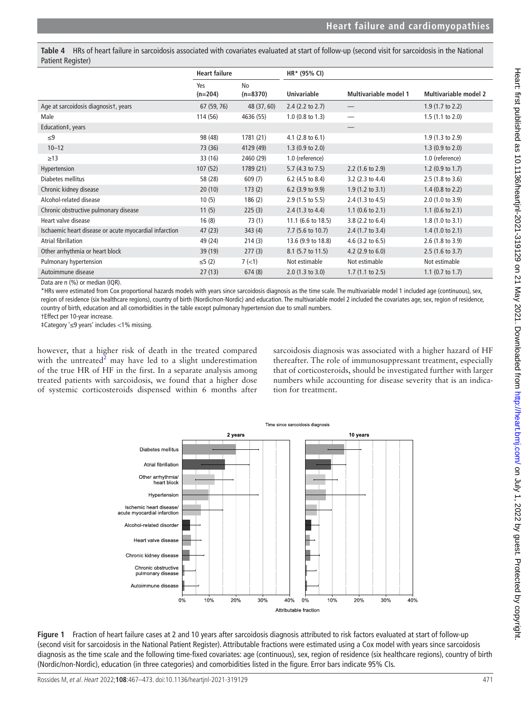<span id="page-4-0"></span>**Table 4** HRs of heart failure in sarcoidosis associated with covariates evaluated at start of follow-up (second visit for sarcoidosis in the National Patient Register)

|                                                        | <b>Heart failure</b> |                  | HR* (95% CI)                |                             |                              |
|--------------------------------------------------------|----------------------|------------------|-----------------------------|-----------------------------|------------------------------|
|                                                        | Yes<br>$(n=204)$     | No<br>$(n=8370)$ | <b>Univariable</b>          | Multivariable model 1       | <b>Multivariable model 2</b> |
| Age at sarcoidosis diagnosist, years                   | 67 (59, 76)          | 48 (37, 60)      | $2.4$ (2.2 to 2.7)          |                             | $1.9(1.7 \text{ to } 2.2)$   |
| Male                                                   | 114 (56)             | 4636 (55)        | $1.0$ (0.8 to 1.3)          | $\hspace{0.05cm}$           | $1.5(1.1 \text{ to } 2.0)$   |
| Education‡, years                                      |                      |                  |                             |                             |                              |
| $\leq 9$                                               | 98 (48)              | 1781 (21)        | 4.1 $(2.8 \text{ to } 6.1)$ |                             | $1.9(1.3 \text{ to } 2.9)$   |
| $10 - 12$                                              | 73 (36)              | 4129 (49)        | $1.3(0.9 \text{ to } 2.0)$  |                             | $1.3$ (0.9 to 2.0)           |
| $\geq$ 13                                              | 33 (16)              | 2460 (29)        | 1.0 (reference)             |                             | 1.0 (reference)              |
| Hypertension                                           | 107(52)              | 1789 (21)        | 5.7 (4.3 to 7.5)            | $2.2$ (1.6 to 2.9)          | 1.2 $(0.9 \text{ to } 1.7)$  |
| Diabetes mellitus                                      | 58 (28)              | 609(7)           | 6.2 (4.5 to 8.4)            | 3.2 (2.3 to 4.4)            | 2.5 (1.8 to 3.6)             |
| Chronic kidney disease                                 | 20(10)               | 173(2)           | 6.2 (3.9 to 9.9)            | $1.9(1.2 \text{ to } 3.1)$  | $1.4$ (0.8 to 2.2)           |
| Alcohol-related disease                                | 10(5)                | 186(2)           | $2.9(1.5 \text{ to } 5.5)$  | 2.4 $(1.3 \text{ to } 4.5)$ | $2.0$ (1.0 to 3.9)           |
| Chronic obstructive pulmonary disease                  | 11(5)                | 225(3)           | 2.4 $(1.3 \text{ to } 4.4)$ | 1.1 $(0.6 \text{ to } 2.1)$ | 1.1 $(0.6 \text{ to } 2.1)$  |
| Heart valve disease                                    | 16(8)                | 73(1)            | 11.1 (6.6 to 18.5)          | 3.8 (2.2 to 6.4)            | $1.8(1.0 \text{ to } 3.1)$   |
| Ischaemic heart disease or acute myocardial infarction | 47(23)               | 343(4)           | 7.7 (5.6 to 10.7)           | $2.4$ (1.7 to 3.4)          | $1.4$ (1.0 to 2.1)           |
| Atrial fibrillation                                    | 49 (24)              | 214(3)           | 13.6 (9.9 to 18.8)          | 4.6 $(3.2 \text{ to } 6.5)$ | $2.6(1.8 \text{ to } 3.9)$   |
| Other arrhythmia or heart block                        | 39(19)               | 277(3)           | 8.1 (5.7 to 11.5)           | 4.2 $(2.9 \text{ to } 6.0)$ | $2.5(1.6 \text{ to } 3.7)$   |
| Pulmonary hypertension                                 | ≤5(2)                | $7$ ( $<$ 1)     | Not estimable               | Not estimable               | Not estimable                |
| Autoimmune disease<br>1011<br>11 112.52                | 27(13)               | 674(8)           | $2.0$ (1.3 to 3.0)          | $1.7(1.1 \text{ to } 2.5)$  | 1.1 $(0.7 \text{ to } 1.7)$  |

Data are n (%) or median (IQR).

\*HRs were estimated from Cox proportional hazards models with years since sarcoidosis diagnosis as the time scale. The multivariable model 1 included age (continuous), sex, region of residence (six healthcare regions), country of birth (Nordic/non-Nordic) and education. The multivariable model 2 included the covariates age, sex, region of residence, country of birth, education and all comorbidities in the table except pulmonary hypertension due to small numbers.

†Effect per 10-year increase.

‡Category '≤9 years' includes <1% missing.

however, that a higher risk of death in the treated compared with the untreated $2$  may have led to a slight underestimation of the true HR of HF in the first. In a separate analysis among treated patients with sarcoidosis, we found that a higher dose of systemic corticosteroids dispensed within 6 months after

sarcoidosis diagnosis was associated with a higher hazard of HF thereafter. The role of immunosuppressant treatment, especially that of corticosteroids, should be investigated further with larger numbers while accounting for disease severity that is an indication for treatment.



<span id="page-4-1"></span>**Figure 1** Fraction of heart failure cases at 2 and 10 years after sarcoidosis diagnosis attributed to risk factors evaluated at start of follow-up (second visit for sarcoidosis in the National Patient Register). Attributable fractions were estimated using a Cox model with years since sarcoidosis diagnosis as the time scale and the following time-fixed covariates: age (continuous), sex, region of residence (six healthcare regions), country of birth (Nordic/non-Nordic), education (in three categories) and comorbidities listed in the figure. Error bars indicate 95% CIs.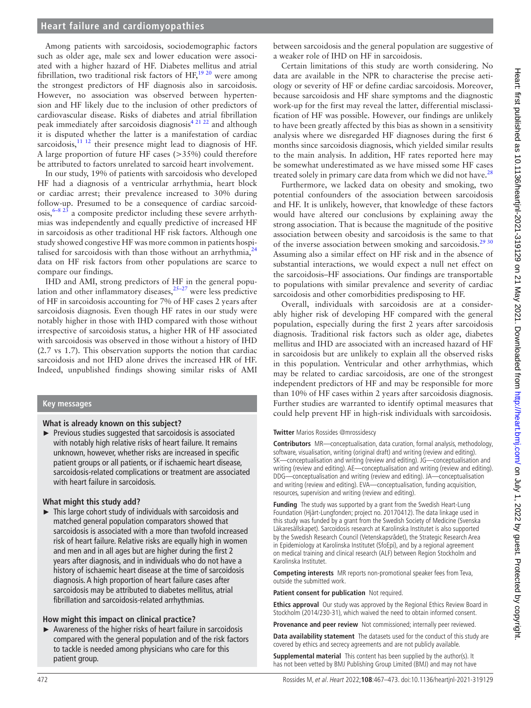Among patients with sarcoidosis, sociodemographic factors such as older age, male sex and lower education were associated with a higher hazard of HF. Diabetes mellitus and atrial fibrillation, two traditional risk factors of  $HF$ ,  $^{19\ 20}$  were among the strongest predictors of HF diagnosis also in sarcoidosis. However, no association was observed between hypertension and HF likely due to the inclusion of other predictors of cardiovascular disease. Risks of diabetes and atrial fibrillation peak immediately after sarcoidosis diagnosis<sup>[4 21 22](#page-6-3)</sup> and although it is disputed whether the latter is a manifestation of cardiac sarcoidosis, $\frac{11 \text{ } 12 \text{}}{11 \text{ } 12 \text{ } 12 \text{ } 11 \text{ } 12 \text{ } 11 \text{ } 12 \text{ } 12 \text{ } 11 \text{ } 12 \text{ } 12 \text{ } 12 \text{ } 12 \text{ } 12 \text{ } 12 \text{ } 12 \text{ } 12 \text{ } 12 \text{ } 12 \text{ } 12 \text{ } 12 \text{ } 12 \text{ } 12 \text{ } 12 \text{ } 12 \text{ } 12 \text{ } 12 \text{ } 12$ A large proportion of future HF cases (>35%) could therefore be attributed to factors unrelated to sarcoid heart involvement.

In our study, 19% of patients with sarcoidosis who developed HF had a diagnosis of a ventricular arrhythmia, heart block or cardiac arrest; their prevalence increased to 30% during follow-up. Presumed to be a consequence of cardiac sarcoid- $\cos s$ <sup>6–8 23</sup> a composite predictor including these severe arrhythmias was independently and equally predictive of increased HF in sarcoidosis as other traditional HF risk factors. Although one study showed congestive HF was more common in patients hospitalised for sarcoidosis with than those without an arrhythmia, $^{24}$  $^{24}$  $^{24}$ data on HF risk factors from other populations are scarce to compare our findings.

IHD and AMI, strong predictors of HF in the general population and other inflammatory diseases, $25-27$  were less predictive of HF in sarcoidosis accounting for 7% of HF cases 2 years after sarcoidosis diagnosis. Even though HF rates in our study were notably higher in those with IHD compared with those without irrespective of sarcoidosis status, a higher HR of HF associated with sarcoidosis was observed in those without a history of IHD (2.7 vs 1.7). This observation supports the notion that cardiac sarcoidosis and not IHD alone drives the increased HR of HF. Indeed, unpublished findings showing similar risks of AMI

### **Key messages**

#### **What is already known on this subject?**

► Previous studies suggested that sarcoidosis is associated with notably high relative risks of heart failure. It remains unknown, however, whether risks are increased in specific patient groups or all patients, or if ischaemic heart disease, sarcoidosis-related complications or treatment are associated with heart failure in sarcoidosis.

#### **What might this study add?**

► This large cohort study of individuals with sarcoidosis and matched general population comparators showed that sarcoidosis is associated with a more than twofold increased risk of heart failure. Relative risks are equally high in women and men and in all ages but are higher during the first 2 years after diagnosis, and in individuals who do not have a history of ischaemic heart disease at the time of sarcoidosis diagnosis. A high proportion of heart failure cases after sarcoidosis may be attributed to diabetes mellitus, atrial fibrillation and sarcoidosis-related arrhythmias.

#### **How might this impact on clinical practice?**

► Awareness of the higher risks of heart failure in sarcoidosis compared with the general population and of the risk factors to tackle is needed among physicians who care for this patient group.

between sarcoidosis and the general population are suggestive of a weaker role of IHD on HF in sarcoidosis.

Certain limitations of this study are worth considering. No data are available in the NPR to characterise the precise aetiology or severity of HF or define cardiac sarcoidosis. Moreover, because sarcoidosis and HF share symptoms and the diagnostic work-up for the first may reveal the latter, differential misclassification of HF was possible. However, our findings are unlikely to have been greatly affected by this bias as shown in a sensitivity analysis where we disregarded HF diagnoses during the first 6 months since sarcoidosis diagnosis, which yielded similar results to the main analysis. In addition, HF rates reported here may be somewhat underestimated as we have missed some HF cases treated solely in primary care data from which we did not have. $^{28}$  $^{28}$  $^{28}$ 

Furthermore, we lacked data on obesity and smoking, two potential confounders of the association between sarcoidosis and HF. It is unlikely, however, that knowledge of these factors would have altered our conclusions by explaining away the strong association. That is because the magnitude of the positive association between obesity and sarcoidosis is the same to that of the inverse association between smoking and sarcoidosis.<sup>29 30</sup> Assuming also a similar effect on HF risk and in the absence of substantial interactions, we would expect a null net effect on the sarcoidosis–HF associations. Our findings are transportable to populations with similar prevalence and severity of cardiac sarcoidosis and other comorbidities predisposing to HF.

Overall, individuals with sarcoidosis are at a considerably higher risk of developing HF compared with the general population, especially during the first 2 years after sarcoidosis diagnosis. Traditional risk factors such as older age, diabetes mellitus and IHD are associated with an increased hazard of HF in sarcoidosis but are unlikely to explain all the observed risks in this population. Ventricular and other arrhythmias, which may be related to cardiac sarcoidosis, are one of the strongest independent predictors of HF and may be responsible for more than 10% of HF cases within 2 years after sarcoidosis diagnosis. Further studies are warranted to identify optimal measures that could help prevent HF in high-risk individuals with sarcoidosis.

#### **Twitter** Marios Rossides [@mrossidescy](https://twitter.com/mrossidescy)

**Contributors** MR—conceptualisation, data curation, formal analysis, methodology, software, visualisation, writing (original draft) and writing (review and editing). SK—conceptualisation and writing (review and editing). JG—conceptualisation and writing (review and editing). AE—conceptualisation and writing (review and editing). DDG—conceptualisation and writing (review and editing). JA—conceptualisation and writing (review and editing). EVA—conceptualisation, funding acquisition, resources, supervision and writing (review and editing).

**Funding** The study was supported by a grant from the Swedish Heart-Lung Foundation (Hjärt-Lungfonden; project no. 20170412). The data linkage used in this study was funded by a grant from the Swedish Society of Medicine (Svenska Läkaresällskapet). Sarcoidosis research at Karolinska Institutet is also supported by the Swedish Research Council (Vetenskapsrådet), the Strategic Research Area in Epidemiology at Karolinska Institutet (SfoEpi), and by a regional agreement on medical training and clinical research (ALF) between Region Stockholm and Karolinska Institutet.

**Competing interests** MR reports non-promotional speaker fees from Teva, outside the submitted work.

**Patient consent for publication** Not required.

**Ethics approval** Our study was approved by the Regional Ethics Review Board in Stockholm (2014/230-31), which waived the need to obtain informed consent.

**Provenance and peer review** Not commissioned; internally peer reviewed.

**Data availability statement** The datasets used for the conduct of this study are covered by ethics and secrecy agreements and are not publicly available.

**Supplemental material** This content has been supplied by the author(s). It has not been vetted by BMJ Publishing Group Limited (BMJ) and may not have